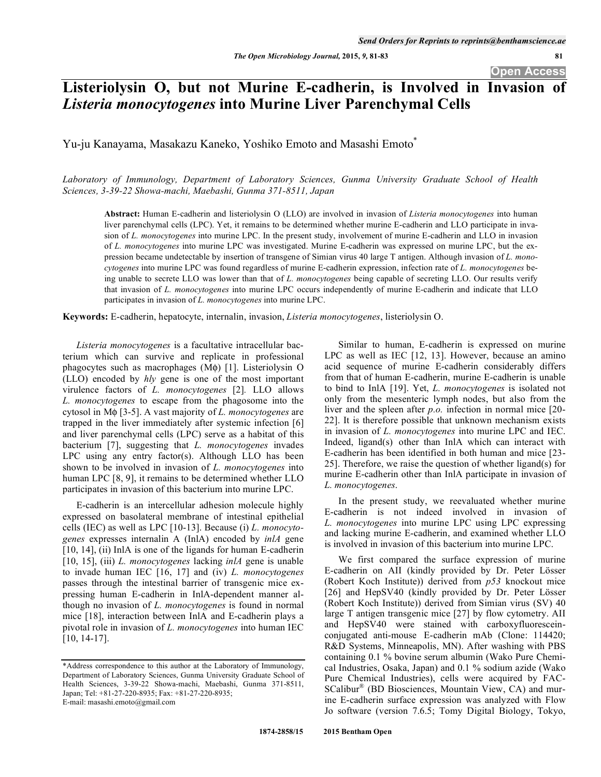**Open Access** 

# **Listeriolysin O, but not Murine E-cadherin, is Involved in Invasion of**  *Listeria monocytogenes* **into Murine Liver Parenchymal Cells**

Yu-ju Kanayama, Masakazu Kaneko, Yoshiko Emoto and Masashi Emoto\*

*Laboratory of Immunology, Department of Laboratory Sciences, Gunma University Graduate School of Health Sciences, 3-39-22 Showa-machi, Maebashi, Gunma 371-8511, Japan* 

**Abstract:** Human E-cadherin and listeriolysin O (LLO) are involved in invasion of *Listeria monocytogenes* into human liver parenchymal cells (LPC). Yet, it remains to be determined whether murine E-cadherin and LLO participate in invasion of *L. monocytogenes* into murine LPC. In the present study, involvement of murine E-cadherin and LLO in invasion of *L. monocytogenes* into murine LPC was investigated. Murine E-cadherin was expressed on murine LPC, but the expression became undetectable by insertion of transgene of Simian virus 40 large T antigen. Although invasion of *L. monocytogenes* into murine LPC was found regardless of murine E-cadherin expression, infection rate of *L. monocytogenes* being unable to secrete LLO was lower than that of *L. monocytogenes* being capable of secreting LLO. Our results verify that invasion of *L. monocytogenes* into murine LPC occurs independently of murine E-cadherin and indicate that LLO participates in invasion of *L. monocytogenes* into murine LPC.

**Keywords:** E-cadherin, hepatocyte, internalin, invasion, *Listeria monocytogenes*, listeriolysin O.

*Listeria monocytogenes* is a facultative intracellular bacterium which can survive and replicate in professional phagocytes such as macrophages  $(M\phi)$  [1]. Listeriolysin O (LLO) encoded by *hly* gene is one of the most important virulence factors of *L. monocytogenes* [2]*.* LLO allows *L. monocytogenes* to escape from the phagosome into the cytosol in M<sub>φ</sub> [3-5]. A vast majority of *L. monocytogenes* are trapped in the liver immediately after systemic infection [6] and liver parenchymal cells (LPC) serve as a habitat of this bacterium [7], suggesting that *L. monocytogenes* invades LPC using any entry factor(s). Although LLO has been shown to be involved in invasion of *L. monocytogenes* into human LPC [8, 9], it remains to be determined whether LLO participates in invasion of this bacterium into murine LPC.

E-cadherin is an intercellular adhesion molecule highly expressed on basolateral membrane of intestinal epithelial cells (IEC) as well as LPC [10-13]. Because (i) *L. monocytogenes* expresses internalin A (InlA) encoded by *inlA* gene [10, 14], (ii) InlA is one of the ligands for human E-cadherin [10, 15], (iii) *L. monocytogenes* lacking *inlA* gene is unable to invade human IEC [16, 17] and (iv) *L. monocytogenes* passes through the intestinal barrier of transgenic mice expressing human E-cadherin in InlA-dependent manner although no invasion of *L. monocytogenes* is found in normal mice [18], interaction between InlA and E-cadherin plays a pivotal role in invasion of *L. monocytogenes* into human IEC [10, 14-17].

E-mail: masashi.emoto@gmail.com

Similar to human, E-cadherin is expressed on murine LPC as well as IEC [12, 13]. However, because an amino acid sequence of murine E-cadherin considerably differs from that of human E-cadherin, murine E-cadherin is unable to bind to InlA [19]. Yet, *L. monocytogenes* is isolated not only from the mesenteric lymph nodes, but also from the liver and the spleen after *p.o.* infection in normal mice [20- 22]. It is therefore possible that unknown mechanism exists in invasion of *L. monocytogenes* into murine LPC and IEC. Indeed, ligand(s) other than InlA which can interact with E-cadherin has been identified in both human and mice [23- 25]. Therefore, we raise the question of whether ligand(s) for murine E-cadherin other than InlA participate in invasion of *L. monocytogenes*.

In the present study, we reevaluated whether murine E-cadherin is not indeed involved in invasion of *L. monocytogenes* into murine LPC using LPC expressing and lacking murine E-cadherin, and examined whether LLO is involved in invasion of this bacterium into murine LPC.

We first compared the surface expression of murine E-cadherin on AII (kindly provided by Dr. Peter Lösser (Robert Koch Institute)) derived from *p53* knockout mice [26] and HepSV40 (kindly provided by Dr. Peter Lösser (Robert Koch Institute)) derived from Simian virus (SV) 40 large T antigen transgenic mice [27] by flow cytometry. AII and HepSV40 were stained with carboxyfluoresceinconjugated anti-mouse E-cadherin mAb (Clone: 114420; R&D Systems, Minneapolis, MN). After washing with PBS containing 0.1 % bovine serum albumin (Wako Pure Chemical Industries, Osaka, Japan) and 0.1 % sodium azide (Wako Pure Chemical Industries), cells were acquired by FAC-SCalibur® (BD Biosciences, Mountain View, CA) and murine E-cadherin surface expression was analyzed with Flow Jo software (version 7.6.5; Tomy Digital Biology, Tokyo,

<sup>\*</sup>Address correspondence to this author at the Laboratory of Immunology, Department of Laboratory Sciences, Gunma University Graduate School of Health Sciences, 3-39-22 Showa-machi, Maebashi, Gunma 371-8511, Japan; Tel: +81-27-220-8935; Fax: +81-27-220-8935;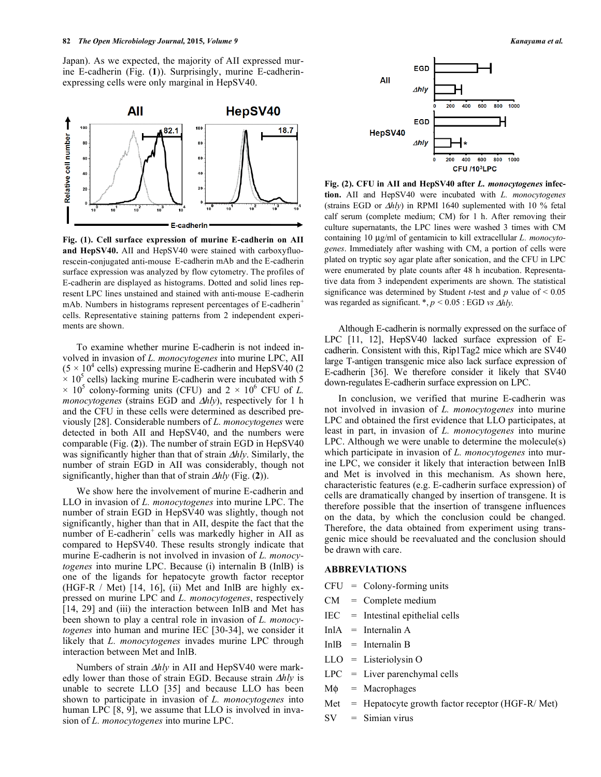Japan). As we expected, the majority of AII expressed murine E-cadherin (Fig. (**1**)). Surprisingly, murine E-cadherinexpressing cells were only marginal in HepSV40.



**Fig. (1). Cell surface expression of murine E-cadherin on AII and HepSV40.** AII and HepSV40 were stained with carboxyfluorescein-conjugated anti-mouse E-cadherin mAb and the E-cadherin surface expression was analyzed by flow cytometry. The profiles of E-cadherin are displayed as histograms. Dotted and solid lines represent LPC lines unstained and stained with anti-mouse E-cadherin mAb. Numbers in histograms represent percentages of E-cadherin<sup>+</sup> cells. Representative staining patterns from 2 independent experiments are shown.

To examine whether murine E-cadherin is not indeed involved in invasion of *L. monocytogenes* into murine LPC, AII  $(5 \times 10^4 \text{ cells})$  expressing murine E-cadherin and HepSV40 (2)  $\times$  10<sup>5</sup> cells) lacking murine E-cadherin were incubated with 5  $\times$  10<sup>5</sup> colony-forming units (CFU) and 2  $\times$  10<sup>6</sup> CFU of *L*. *monocytogenes* (strains EGD and  $\Delta h l y$ ), respectively for 1 h and the CFU in these cells were determined as described previously [28]. Considerable numbers of *L. monocytogenes* were detected in both AII and HepSV40, and the numbers were comparable (Fig. (**2**)). The number of strain EGD in HepSV40 was significantly higher than that of strain  $\Delta h/v$ . Similarly, the number of strain EGD in AII was considerably, though not significantly, higher than that of strain  $\Delta h l v$  (Fig. (2)).

We show here the involvement of murine E-cadherin and LLO in invasion of *L. monocytogenes* into murine LPC. The number of strain EGD in HepSV40 was slightly, though not significantly, higher than that in AII, despite the fact that the number of E-cadherin<sup>+</sup> cells was markedly higher in AII as compared to HepSV40. These results strongly indicate that murine E-cadherin is not involved in invasion of *L. monocytogenes* into murine LPC. Because (i) internalin B (InlB) is one of the ligands for hepatocyte growth factor receptor (HGF-R / Met) [14, 16], (ii) Met and InlB are highly expressed on murine LPC and *L. monocytogenes*, respectively [14, 29] and (iii) the interaction between InlB and Met has been shown to play a central role in invasion of *L. monocytogenes* into human and murine IEC [30-34], we consider it likely that *L. monocytogenes* invades murine LPC through interaction between Met and InlB.

Numbers of strain  $\Delta h l y$  in AII and HepSV40 were markedly lower than those of strain EGD. Because strain  $\Delta h l v$  is unable to secrete LLO [35] and because LLO has been shown to participate in invasion of *L. monocytogenes* into human LPC [8, 9], we assume that LLO is involved in invasion of *L. monocytogenes* into murine LPC.



**Fig. (2). CFU in AII and HepSV40 after** *L. monocytogenes* **infection.** AII and HepSV40 were incubated with *L. monocytogenes* (strains EGD or  $\Delta hly$ ) in RPMI 1640 suplemented with 10 % fetal calf serum (complete medium; CM) for 1 h. After removing their culture supernatants, the LPC lines were washed 3 times with CM containing 10 μg/ml of gentamicin to kill extracellular *L. monocytogenes*. Immediately after washing with CM, a portion of cells were plated on tryptic soy agar plate after sonication, and the CFU in LPC were enumerated by plate counts after 48 h incubation. Representative data from 3 independent experiments are shown. The statistical significance was determined by Student *t*-test and  $p$  value of  $\leq 0.05$ was regarded as significant.  $*, p < 0.05$ : EGD *vs*  $\Delta h l y$ *.* 

Although E-cadherin is normally expressed on the surface of LPC [11, 12], HepSV40 lacked surface expression of Ecadherin. Consistent with this, Rip1Tag2 mice which are SV40 large T-antigen transgenic mice also lack surface expression of E-cadherin [36]. We therefore consider it likely that SV40 down-regulates E-cadherin surface expression on LPC.

In conclusion, we verified that murine E-cadherin was not involved in invasion of *L. monocytogenes* into murine LPC and obtained the first evidence that LLO participates, at least in part, in invasion of *L. monocytogenes* into murine LPC. Although we were unable to determine the molecule(s) which participate in invasion of *L. monocytogenes* into murine LPC, we consider it likely that interaction between InlB and Met is involved in this mechanism. As shown here, characteristic features (e.g. E-cadherin surface expression) of cells are dramatically changed by insertion of transgene. It is therefore possible that the insertion of transgene influences on the data, by which the conclusion could be changed. Therefore, the data obtained from experiment using transgenic mice should be reevaluated and the conclusion should be drawn with care.

#### **ABBREVIATIONS**

- $CFU = Colony-forming units$
- $CM = Complete medium$
- $IEC =$  Intestinal epithelial cells
- $InIA = International A$
- $InIB = International B$
- LLO = Listeriolysin O
- $LPC = Liver parenchymal cells$
- $M\phi$  = Macrophages
- $Met$  = Hepatocyte growth factor receptor (HGF-R/Met)
- $SV = Simian virus$